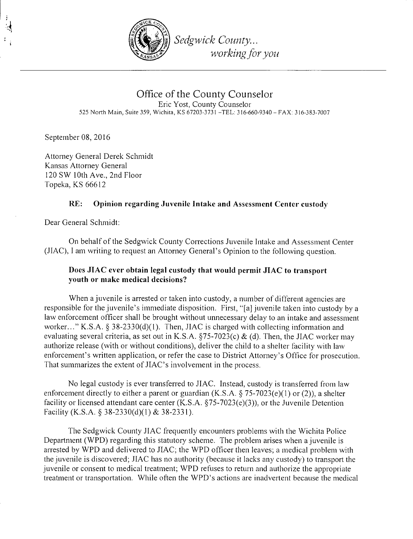

Office of the County Counselor Eric Yost, County Counselor 525 North Main, Suite 359, Wichita, KS 67203-3731 -TEL: 316-660-9340- FAX: 316-383-7007

September 08, 2016

Attorney General Derek Schmidt Kansas Attorney General 120 SW lOth Ave., 2nd Floor Topeka, KS 66612

## RE: Opinion regarding Juvenile Intake and Assessment Center custody

Dear General Sclunidt:

On behalf of the Sedgwick County Corrections Juvenile Intake and Assessment Center (JIAC), I am writing to request an Attorney General's Opinion to the following question.

## Does JIAC ever obtain legal custody that would permit JIAC to transport youth or make medical decisions?

When a juvenile is arrested or taken into custody, a number of different agencies are responsible for the juvenile's immediate disposition. First, "[a] juvenile taken into custody by a law enforcement officer shall be brought without unnecessary delay to an intake and assessment worker..." K.S.A. § 38-2330(d)(1). Then, JIAC is charged with collecting information and evaluating several criteria, as set out in K.S.A.  $\S$ 75-7023(c) & (d). Then, the JIAC worker may authorize release (with or without conditions), deliver the child to a shelter facility with law enforcement's written application, or refer the case to District Attorney's Office for prosecution. That summarizes the extent of JIAC's involvement in the process.

No legal custody is ever transferred to JIAC. Instead, custody is transferred from law enforcement directly to either a parent or guardian  $(K.S.A. \S 75-7023(e)(1)$  or (2)), a shelter facility or licensed attendant care center  $(K.S.A. \S 75-7023(e)(3))$ , or the Juvenile Detention Facility (K.S.A. § 38-2330(d)(l) & 38-2331).

The Sedgwick County JIAC frequently encounters problems with the Wichita Police Department (WPD) regarding this statutory scheme. The problem arises when a juvenile is arrested by WPD and delivered to JIAC; the WPD officer then leaves; a medical problem with the juvenile is discovered; JIAC has no authority (because it lacks any custody) to transport the juvenile or consent to medical treatment; WPD refuses to return and authorize the appropriate treatment or transportation. While often the WPD's actions are inadvertent because the medical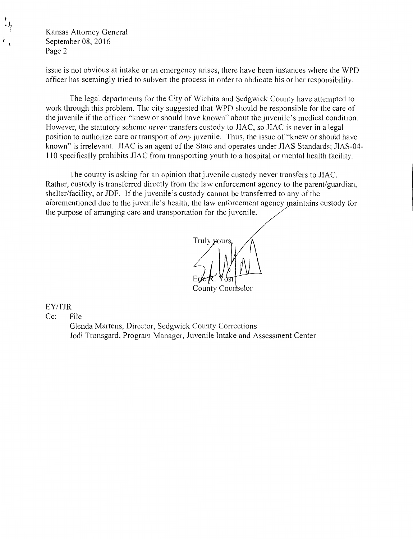Kansas Attorney General September 08, 2016 Page 2

issue is not obvious at intake or an emergency arises, there have been instances where the WPD ot1icer has seemingly tried to subvert the process in order to abdicate his or her responsibility.

The legal departments for the City of Wichita and Sedgwick County have attempted to work through this problem. The city suggested that WPD should be responsible for the care of the juvenile if the officer "knew or should have known" about the juvenile's medical condition. However, the statutory scheme *never* transfers custody to JIAC, so JIAC is never in a legal position to authorize care or transport of *any* juvenile. Thus, the issue of "knew or should have known" is irrelevant. JIAC is an agent of the State and operates under JIAS Standards: JIAS-04-110 specifically prohibits JIAC from transporting youth to a hospital or mental health facility.

The county is asking for an opinion that juvenile custody never transfers to JIAC. Rather, custody is transferred directly from the law enforcement agency to the parent/guardian, shelter/facility, or JDF. If the juvenile's custody cannot be transferred to any of the aforementioned due to the juvenile's health, the law enforcement agency maintains custody for the purpose of arranging care and transportation for the juvenile.

Truly your

County Courtselor

EY/TJR

Cc: File

Glenda Martens, Director, Sedgwick County Corrections Jodi Tronsgard, Program Manager, Juvenile Intake and Assessment Center